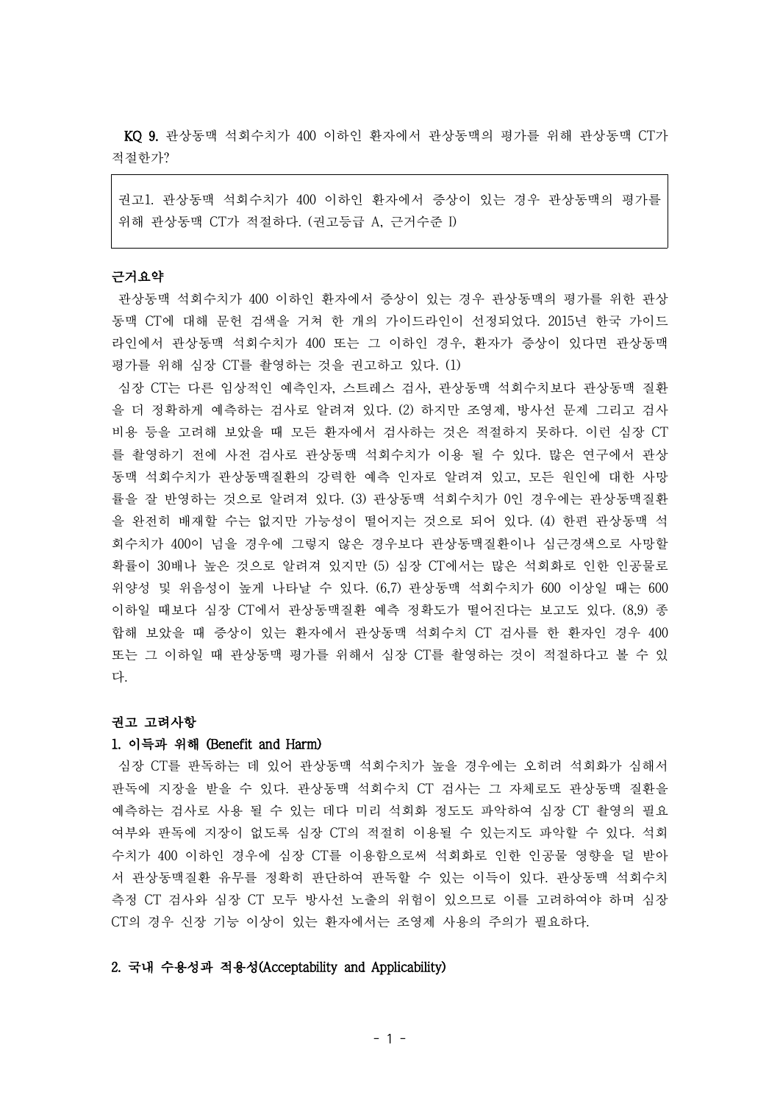KQ 9. 관상동맥 석회수치가 400 이하인 환자에서 관상동맥의 평가를 위해 관상동맥 CT가 적절한가?

권고1. 관상동맥 석회수치가 400 이하인 환자에서 증상이 있는 경우 관상동맥의 평가를 위해 관상동맥 CT가 적절하다. (권고등급 A, 근거수준 I)

# 근거요약

관상동맥 석회수치가 400 이하인 환자에서 증상이 있는 경우 관상동맥의 평가를 위한 관상 동맥 CT에 대해 문헌 검색을 거쳐 한 개의 가이드라인이 선정되었다. 2015년 한국 가이드 라인에서 관상동맥 석회수치가 400 또는 그 이하인 경우, 환자가 증상이 있다면 관상동맥 평가를 위해 심장 CT를 촬영하는 것을 권고하고 있다. (1)

심장 CT는 다른 임상적인 예측인자, 스트레스 검사, 관상동맥 석회수치보다 관상동맥 질환 을 더 정확하게 예측하는 검사로 알려져 있다. (2) 하지만 조영제, 방사선 문제 그리고 검사 비용 등을 고려해 보았을 때 모든 환자에서 검사하는 것은 적절하지 못하다. 이런 심장 CT 를 촬영하기 전에 사전 검사로 관상동맥 석회수치가 이용 될 수 있다. 많은 연구에서 관상 동맥 석회수치가 관상동맥질환의 강력한 예측 인자로 알려져 있고, 모든 원인에 대한 사망 률을 잘 반영하는 것으로 알려져 있다. (3) 관상동맥 석회수치가 0인 경우에는 관상동맥질환 을 완전히 배재할 수는 없지만 가능성이 떨어지는 것으로 되어 있다. (4) 한편 관상동맥 석 회수치가 400이 넘을 경우에 그렇지 않은 경우보다 관상동맥질환이나 심근경색으로 사망할 확률이 30배나 높은 것으로 알려져 있지만 (5) 심장 CT에서는 많은 석회화로 인한 인공물로 위양성 및 위음성이 높게 나타날 수 있다. (6,7) 관상동맥 석회수치가 600 이상일 때는 600 이하일 때보다 심장 CT에서 관상동맥질환 예측 정확도가 떨어진다는 보고도 있다. (8,9) 종 합해 보았을 때 증상이 있는 환자에서 관상동맥 석회수치 CT 검사를 한 환자인 경우 400 또는 그 이하일 때 관상동맥 평가를 위해서 심장 CT를 촬영하는 것이 적절하다고 볼 수 있 다.

#### 권고 고려사항

### 1. 이득과 위해 (Benefit and Harm)

심장 CT를 판독하는 데 있어 관상동맥 석회수치가 높을 경우에는 오히려 석회화가 심해서 판독에 지장을 받을 수 있다. 관상동맥 석회수치 CT 검사는 그 자체로도 관상동맥 질환을 예측하는 검사로 사용 될 수 있는 데다 미리 석회화 정도도 파악하여 심장 CT 촬영의 필요 여부와 판독에 지장이 없도록 심장 CT의 적절히 이용될 수 있는지도 파악할 수 있다. 석회 수치가 400 이하인 경우에 심장 CT를 이용함으로써 석회화로 인한 인공물 영향을 덜 받아 서 관상동맥질환 유무를 정확히 판단하여 판독할 수 있는 이득이 있다. 관상동맥 석회수치 측정 CT 검사와 심장 CT 모두 방사선 노출의 위험이 있으므로 이를 고려하여야 하며 심장 CT의 경우 신장 기능 이상이 있는 환자에서는 조영제 사용의 주의가 필요하다.

## 2. 국내 수용성과 적용성(Acceptability and Applicability)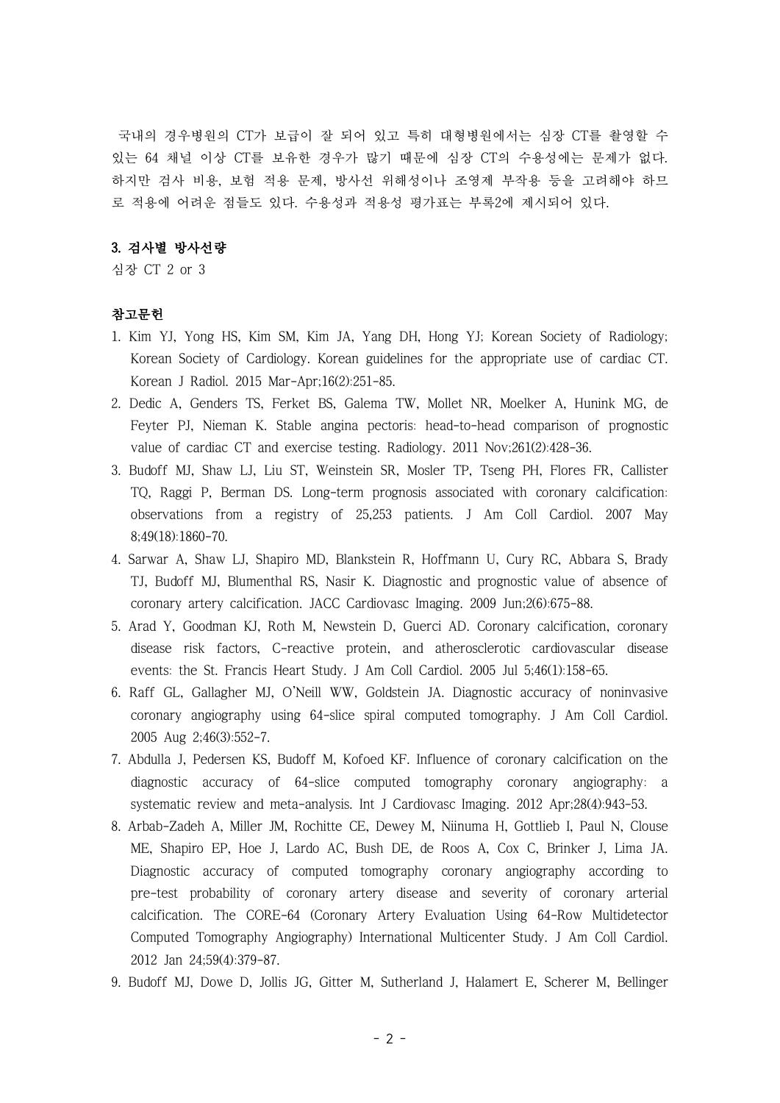국내의 경우병원의 CT가 보급이 잘 되어 있고 특히 대형병원에서는 심장 CT를 촬영할 수 있는 64 채널 이상 CT를 보유한 경우가 많기 때문에 심장 CT의 수용성에는 문제가 없다. 하지만 검사 비용, 보험 적용 문제, 방사선 위해성이나 조영제 부작용 등을 고려해야 하므 로 적용에 어려운 점들도 있다. 수용성과 적용성 평가표는 부록2에 제시되어 있다.

# 3. 검사별 방사선량

심장 CT 2 or 3

# 참고문헌

- 1. Kim YJ, Yong HS, Kim SM, Kim JA, Yang DH, Hong YJ; Korean Society of Radiology; Korean Society of Cardiology. Korean guidelines for the appropriate use of cardiac CT. Korean J Radiol. 2015 Mar-Apr;16(2):251-85.
- 2. Dedic A, Genders TS, Ferket BS, Galema TW, Mollet NR, Moelker A, Hunink MG, de Feyter PJ, Nieman K. Stable angina pectoris: head-to-head comparison of prognostic value of cardiac CT and exercise testing. Radiology. 2011 Nov;261(2):428-36.
- 3. Budoff MJ, Shaw LJ, Liu ST, Weinstein SR, Mosler TP, Tseng PH, Flores FR, Callister TQ, Raggi P, Berman DS. Long-term prognosis associated with coronary calcification: observations from a registry of 25,253 patients. J Am Coll Cardiol. 2007 May 8;49(18):1860-70.
- 4. Sarwar A, Shaw LJ, Shapiro MD, Blankstein R, Hoffmann U, Cury RC, Abbara S, Brady TJ, Budoff MJ, Blumenthal RS, Nasir K. Diagnostic and prognostic value of absence of coronary artery calcification. JACC Cardiovasc Imaging. 2009 Jun;2(6):675-88.
- 5. Arad Y, Goodman KJ, Roth M, Newstein D, Guerci AD. Coronary calcification, coronary disease risk factors, C-reactive protein, and atherosclerotic cardiovascular disease events: the St. Francis Heart Study. J Am Coll Cardiol. 2005 Jul 5;46(1):158-65.
- 6. Raff GL, Gallagher MJ, O'Neill WW, Goldstein JA. Diagnostic accuracy of noninvasive coronary angiography using 64-slice spiral computed tomography. J Am Coll Cardiol. 2005 Aug 2;46(3):552-7.
- 7. Abdulla J, Pedersen KS, Budoff M, Kofoed KF. Influence of coronary calcification on the diagnostic accuracy of 64-slice computed tomography coronary angiography: a systematic review and meta-analysis. Int J Cardiovasc Imaging. 2012 Apr;28(4):943-53.
- 8. Arbab-Zadeh A, Miller JM, Rochitte CE, Dewey M, Niinuma H, Gottlieb I, Paul N, Clouse ME, Shapiro EP, Hoe J, Lardo AC, Bush DE, de Roos A, Cox C, Brinker J, Lima JA. Diagnostic accuracy of computed tomography coronary angiography according to pre-test probability of coronary artery disease and severity of coronary arterial calcification. The CORE-64 (Coronary Artery Evaluation Using 64-Row Multidetector Computed Tomography Angiography) International Multicenter Study. J Am Coll Cardiol. 2012 Jan 24;59(4):379-87.
- 9. Budoff MJ, Dowe D, Jollis JG, Gitter M, Sutherland J, Halamert E, Scherer M, Bellinger